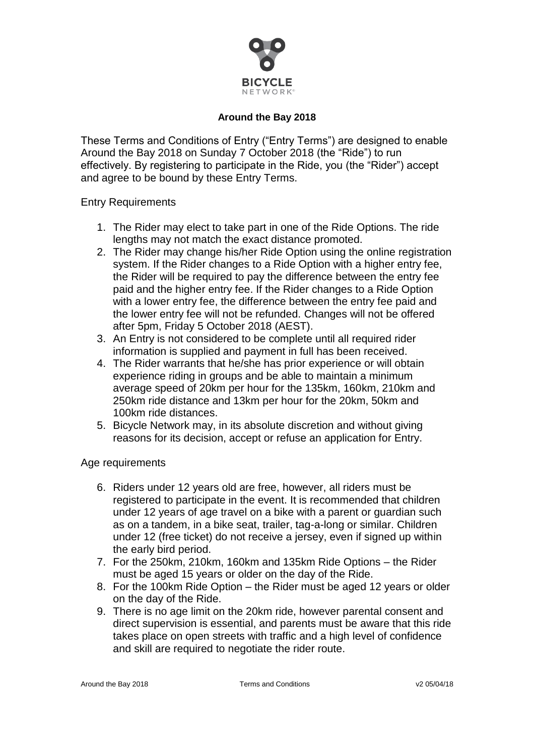

#### **Around the Bay 2018**

These Terms and Conditions of Entry ("Entry Terms") are designed to enable Around the Bay 2018 on Sunday 7 October 2018 (the "Ride") to run effectively. By registering to participate in the Ride, you (the "Rider") accept and agree to be bound by these Entry Terms.

Entry Requirements

- 1. The Rider may elect to take part in one of the Ride Options. The ride lengths may not match the exact distance promoted.
- 2. The Rider may change his/her Ride Option using the online registration system. If the Rider changes to a Ride Option with a higher entry fee, the Rider will be required to pay the difference between the entry fee paid and the higher entry fee. If the Rider changes to a Ride Option with a lower entry fee, the difference between the entry fee paid and the lower entry fee will not be refunded. Changes will not be offered after 5pm, Friday 5 October 2018 (AEST).
- 3. An Entry is not considered to be complete until all required rider information is supplied and payment in full has been received.
- 4. The Rider warrants that he/she has prior experience or will obtain experience riding in groups and be able to maintain a minimum average speed of 20km per hour for the 135km, 160km, 210km and 250km ride distance and 13km per hour for the 20km, 50km and 100km ride distances.
- 5. Bicycle Network may, in its absolute discretion and without giving reasons for its decision, accept or refuse an application for Entry.

Age requirements

- 6. Riders under 12 years old are free, however, all riders must be registered to participate in the event. It is recommended that children under 12 years of age travel on a bike with a parent or guardian such as on a tandem, in a bike seat, trailer, tag-a-long or similar. Children under 12 (free ticket) do not receive a jersey, even if signed up within the early bird period.
- 7. For the 250km, 210km, 160km and 135km Ride Options the Rider must be aged 15 years or older on the day of the Ride.
- 8. For the 100km Ride Option the Rider must be aged 12 years or older on the day of the Ride.
- 9. There is no age limit on the 20km ride, however parental consent and direct supervision is essential, and parents must be aware that this ride takes place on open streets with traffic and a high level of confidence and skill are required to negotiate the rider route.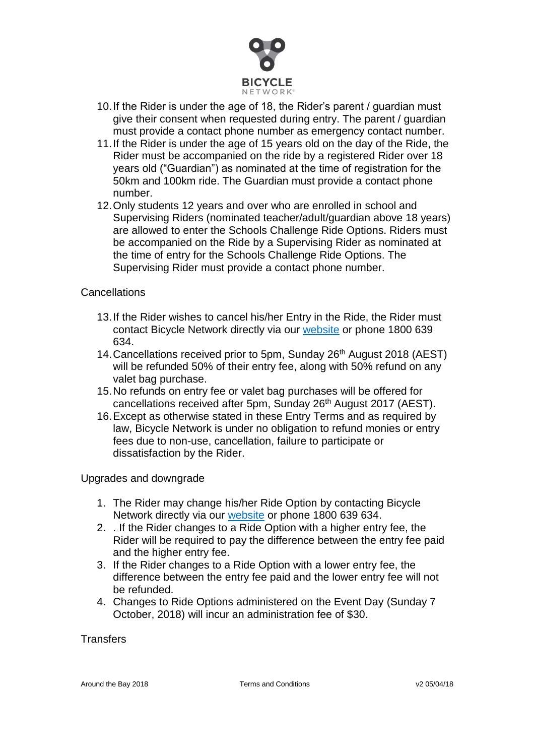

- 10.If the Rider is under the age of 18, the Rider's parent / guardian must give their consent when requested during entry. The parent / guardian must provide a contact phone number as emergency contact number.
- 11.If the Rider is under the age of 15 years old on the day of the Ride, the Rider must be accompanied on the ride by a registered Rider over 18 years old ("Guardian") as nominated at the time of registration for the 50km and 100km ride. The Guardian must provide a contact phone number.
- 12.Only students 12 years and over who are enrolled in school and Supervising Riders (nominated teacher/adult/guardian above 18 years) are allowed to enter the Schools Challenge Ride Options. Riders must be accompanied on the Ride by a Supervising Rider as nominated at the time of entry for the Schools Challenge Ride Options. The Supervising Rider must provide a contact phone number.

## **Cancellations**

- 13.If the Rider wishes to cancel his/her Entry in the Ride, the Rider must contact Bicycle Network directly via our [website](https://cam.bicyclenetwork.com.au/contact/) or phone 1800 639 634.
- 14. Cancellations received prior to 5pm, Sunday 26<sup>th</sup> August 2018 (AEST) will be refunded 50% of their entry fee, along with 50% refund on any valet bag purchase.
- 15.No refunds on entry fee or valet bag purchases will be offered for cancellations received after 5pm, Sunday 26<sup>th</sup> August 2017 (AEST).
- 16.Except as otherwise stated in these Entry Terms and as required by law, Bicycle Network is under no obligation to refund monies or entry fees due to non-use, cancellation, failure to participate or dissatisfaction by the Rider.

Upgrades and downgrade

- 1. The Rider may change his/her Ride Option by contacting Bicycle Network directly via our [website](https://cam.bicyclenetwork.com.au/contact/) or phone 1800 639 634.
- 2. . If the Rider changes to a Ride Option with a higher entry fee, the Rider will be required to pay the difference between the entry fee paid and the higher entry fee.
- 3. If the Rider changes to a Ride Option with a lower entry fee, the difference between the entry fee paid and the lower entry fee will not be refunded.
- 4. Changes to Ride Options administered on the Event Day (Sunday 7 October, 2018) will incur an administration fee of \$30.

## **Transfers**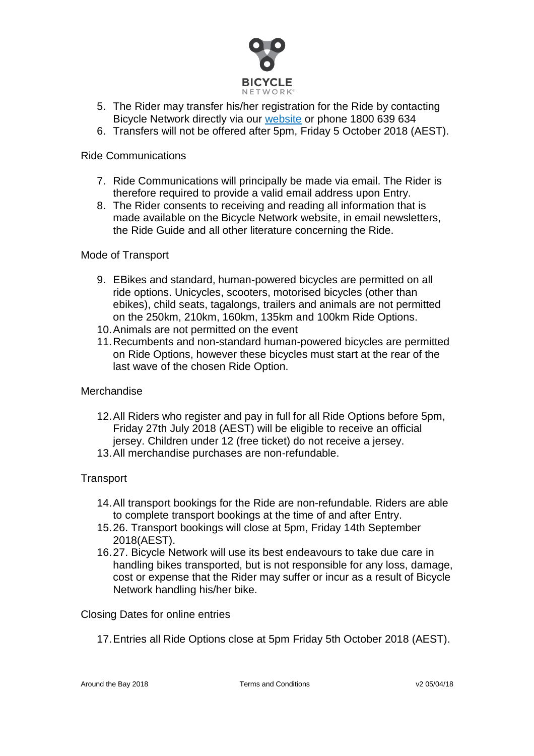

- 5. The Rider may transfer his/her registration for the Ride by contacting Bicycle Network directly via our [website](https://cam.bicyclenetwork.com.au/contact/) or phone 1800 639 634
- 6. Transfers will not be offered after 5pm, Friday 5 October 2018 (AEST).

## Ride Communications

- 7. Ride Communications will principally be made via email. The Rider is therefore required to provide a valid email address upon Entry.
- 8. The Rider consents to receiving and reading all information that is made available on the Bicycle Network website, in email newsletters, the Ride Guide and all other literature concerning the Ride.

## Mode of Transport

- 9. EBikes and standard, human-powered bicycles are permitted on all ride options. Unicycles, scooters, motorised bicycles (other than ebikes), child seats, tagalongs, trailers and animals are not permitted on the 250km, 210km, 160km, 135km and 100km Ride Options.
- 10.Animals are not permitted on the event
- 11.Recumbents and non-standard human-powered bicycles are permitted on Ride Options, however these bicycles must start at the rear of the last wave of the chosen Ride Option.

# Merchandise

- 12.All Riders who register and pay in full for all Ride Options before 5pm, Friday 27th July 2018 (AEST) will be eligible to receive an official jersey. Children under 12 (free ticket) do not receive a jersey.
- 13.All merchandise purchases are non-refundable.

# **Transport**

- 14.All transport bookings for the Ride are non-refundable. Riders are able to complete transport bookings at the time of and after Entry.
- 15.26. Transport bookings will close at 5pm, Friday 14th September 2018(AEST).
- 16.27. Bicycle Network will use its best endeavours to take due care in handling bikes transported, but is not responsible for any loss, damage, cost or expense that the Rider may suffer or incur as a result of Bicycle Network handling his/her bike.

## Closing Dates for online entries

17.Entries all Ride Options close at 5pm Friday 5th October 2018 (AEST).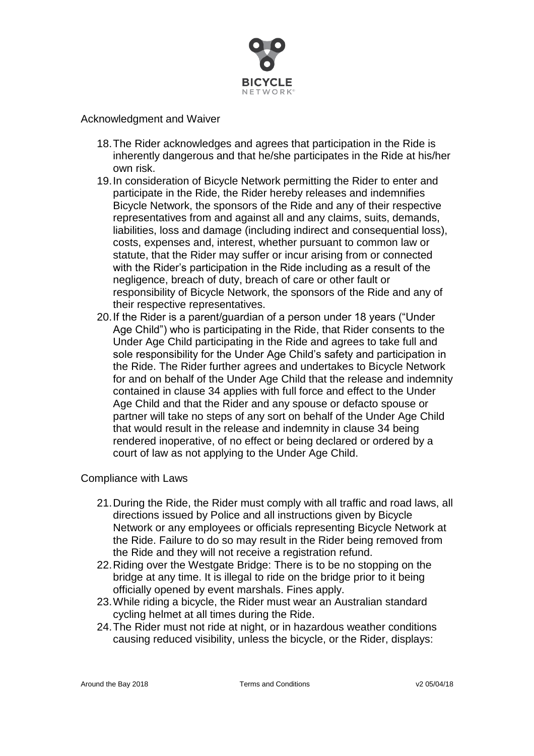

## Acknowledgment and Waiver

- 18.The Rider acknowledges and agrees that participation in the Ride is inherently dangerous and that he/she participates in the Ride at his/her own risk.
- 19.In consideration of Bicycle Network permitting the Rider to enter and participate in the Ride, the Rider hereby releases and indemnifies Bicycle Network, the sponsors of the Ride and any of their respective representatives from and against all and any claims, suits, demands, liabilities, loss and damage (including indirect and consequential loss), costs, expenses and, interest, whether pursuant to common law or statute, that the Rider may suffer or incur arising from or connected with the Rider's participation in the Ride including as a result of the negligence, breach of duty, breach of care or other fault or responsibility of Bicycle Network, the sponsors of the Ride and any of their respective representatives.
- 20.If the Rider is a parent/guardian of a person under 18 years ("Under Age Child") who is participating in the Ride, that Rider consents to the Under Age Child participating in the Ride and agrees to take full and sole responsibility for the Under Age Child's safety and participation in the Ride. The Rider further agrees and undertakes to Bicycle Network for and on behalf of the Under Age Child that the release and indemnity contained in clause 34 applies with full force and effect to the Under Age Child and that the Rider and any spouse or defacto spouse or partner will take no steps of any sort on behalf of the Under Age Child that would result in the release and indemnity in clause 34 being rendered inoperative, of no effect or being declared or ordered by a court of law as not applying to the Under Age Child.

#### Compliance with Laws

- 21.During the Ride, the Rider must comply with all traffic and road laws, all directions issued by Police and all instructions given by Bicycle Network or any employees or officials representing Bicycle Network at the Ride. Failure to do so may result in the Rider being removed from the Ride and they will not receive a registration refund.
- 22.Riding over the Westgate Bridge: There is to be no stopping on the bridge at any time. It is illegal to ride on the bridge prior to it being officially opened by event marshals. Fines apply.
- 23.While riding a bicycle, the Rider must wear an Australian standard cycling helmet at all times during the Ride.
- 24.The Rider must not ride at night, or in hazardous weather conditions causing reduced visibility, unless the bicycle, or the Rider, displays: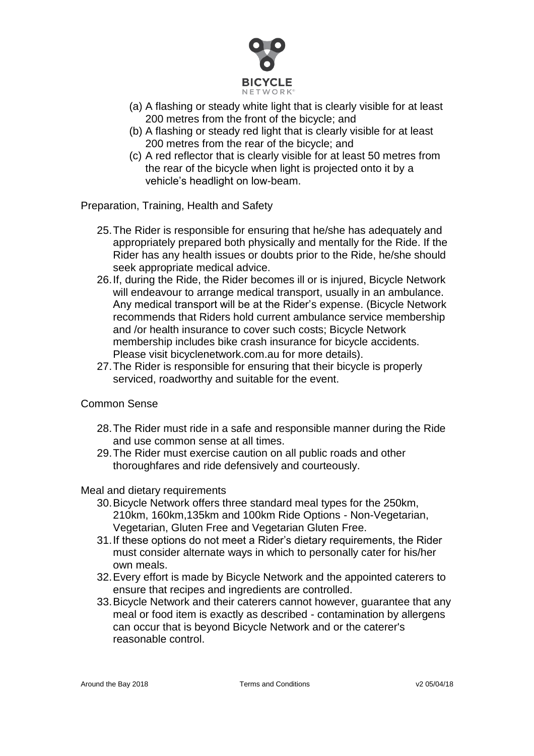

- (a) A flashing or steady white light that is clearly visible for at least 200 metres from the front of the bicycle; and
- (b) A flashing or steady red light that is clearly visible for at least 200 metres from the rear of the bicycle; and
- (c) A red reflector that is clearly visible for at least 50 metres from the rear of the bicycle when light is projected onto it by a vehicle's headlight on low-beam.

Preparation, Training, Health and Safety

- 25.The Rider is responsible for ensuring that he/she has adequately and appropriately prepared both physically and mentally for the Ride. If the Rider has any health issues or doubts prior to the Ride, he/she should seek appropriate medical advice.
- 26.If, during the Ride, the Rider becomes ill or is injured, Bicycle Network will endeavour to arrange medical transport, usually in an ambulance. Any medical transport will be at the Rider's expense. (Bicycle Network recommends that Riders hold current ambulance service membership and /or health insurance to cover such costs; Bicycle Network membership includes bike crash insurance for bicycle accidents. Please visit bicyclenetwork.com.au for more details).
- 27.The Rider is responsible for ensuring that their bicycle is properly serviced, roadworthy and suitable for the event.

## Common Sense

- 28.The Rider must ride in a safe and responsible manner during the Ride and use common sense at all times.
- 29.The Rider must exercise caution on all public roads and other thoroughfares and ride defensively and courteously.

#### Meal and dietary requirements

- 30.Bicycle Network offers three standard meal types for the 250km, 210km, 160km,135km and 100km Ride Options - Non-Vegetarian, Vegetarian, Gluten Free and Vegetarian Gluten Free.
- 31.If these options do not meet a Rider's dietary requirements, the Rider must consider alternate ways in which to personally cater for his/her own meals.
- 32.Every effort is made by Bicycle Network and the appointed caterers to ensure that recipes and ingredients are controlled.
- 33.Bicycle Network and their caterers cannot however, guarantee that any meal or food item is exactly as described - contamination by allergens can occur that is beyond Bicycle Network and or the caterer's reasonable control.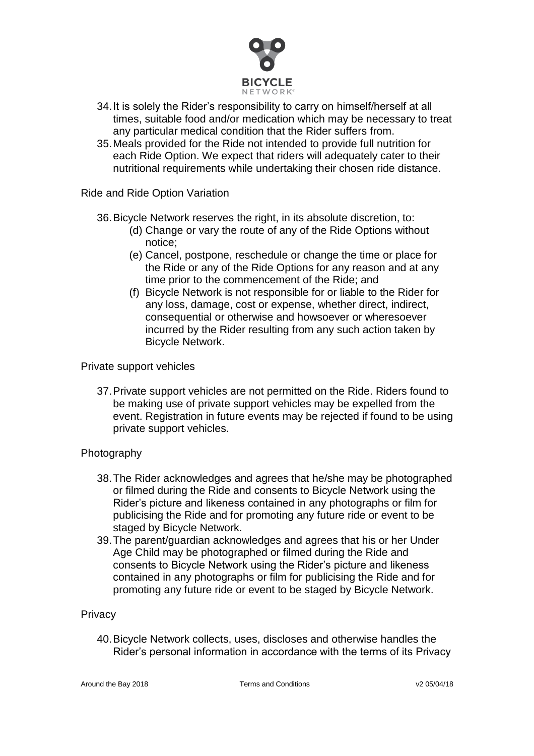

- 34.It is solely the Rider's responsibility to carry on himself/herself at all times, suitable food and/or medication which may be necessary to treat any particular medical condition that the Rider suffers from.
- 35.Meals provided for the Ride not intended to provide full nutrition for each Ride Option. We expect that riders will adequately cater to their nutritional requirements while undertaking their chosen ride distance.

Ride and Ride Option Variation

36.Bicycle Network reserves the right, in its absolute discretion, to:

- (d) Change or vary the route of any of the Ride Options without notice;
- (e) Cancel, postpone, reschedule or change the time or place for the Ride or any of the Ride Options for any reason and at any time prior to the commencement of the Ride; and
- (f) Bicycle Network is not responsible for or liable to the Rider for any loss, damage, cost or expense, whether direct, indirect, consequential or otherwise and howsoever or wheresoever incurred by the Rider resulting from any such action taken by Bicycle Network.

#### Private support vehicles

37.Private support vehicles are not permitted on the Ride. Riders found to be making use of private support vehicles may be expelled from the event. Registration in future events may be rejected if found to be using private support vehicles.

## Photography

- 38.The Rider acknowledges and agrees that he/she may be photographed or filmed during the Ride and consents to Bicycle Network using the Rider's picture and likeness contained in any photographs or film for publicising the Ride and for promoting any future ride or event to be staged by Bicycle Network.
- 39.The parent/guardian acknowledges and agrees that his or her Under Age Child may be photographed or filmed during the Ride and consents to Bicycle Network using the Rider's picture and likeness contained in any photographs or film for publicising the Ride and for promoting any future ride or event to be staged by Bicycle Network.

## **Privacy**

40.Bicycle Network collects, uses, discloses and otherwise handles the Rider's personal information in accordance with the terms of its Privacy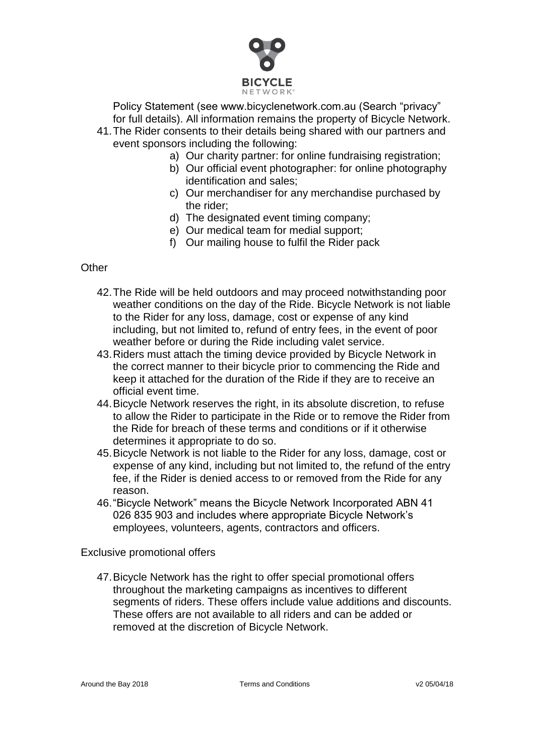

Policy Statement (see www.bicyclenetwork.com.au (Search "privacy" for full details). All information remains the property of Bicycle Network.

- 41.The Rider consents to their details being shared with our partners and event sponsors including the following:
	- a) Our charity partner: for online fundraising registration;
	- b) Our official event photographer: for online photography identification and sales;
	- c) Our merchandiser for any merchandise purchased by the rider;
	- d) The designated event timing company;
	- e) Our medical team for medial support;
	- f) Our mailing house to fulfil the Rider pack

## **Other**

- 42.The Ride will be held outdoors and may proceed notwithstanding poor weather conditions on the day of the Ride. Bicycle Network is not liable to the Rider for any loss, damage, cost or expense of any kind including, but not limited to, refund of entry fees, in the event of poor weather before or during the Ride including valet service.
- 43.Riders must attach the timing device provided by Bicycle Network in the correct manner to their bicycle prior to commencing the Ride and keep it attached for the duration of the Ride if they are to receive an official event time.
- 44.Bicycle Network reserves the right, in its absolute discretion, to refuse to allow the Rider to participate in the Ride or to remove the Rider from the Ride for breach of these terms and conditions or if it otherwise determines it appropriate to do so.
- 45.Bicycle Network is not liable to the Rider for any loss, damage, cost or expense of any kind, including but not limited to, the refund of the entry fee, if the Rider is denied access to or removed from the Ride for any reason.
- 46."Bicycle Network" means the Bicycle Network Incorporated ABN 41 026 835 903 and includes where appropriate Bicycle Network's employees, volunteers, agents, contractors and officers.

Exclusive promotional offers

47.Bicycle Network has the right to offer special promotional offers throughout the marketing campaigns as incentives to different segments of riders. These offers include value additions and discounts. These offers are not available to all riders and can be added or removed at the discretion of Bicycle Network.